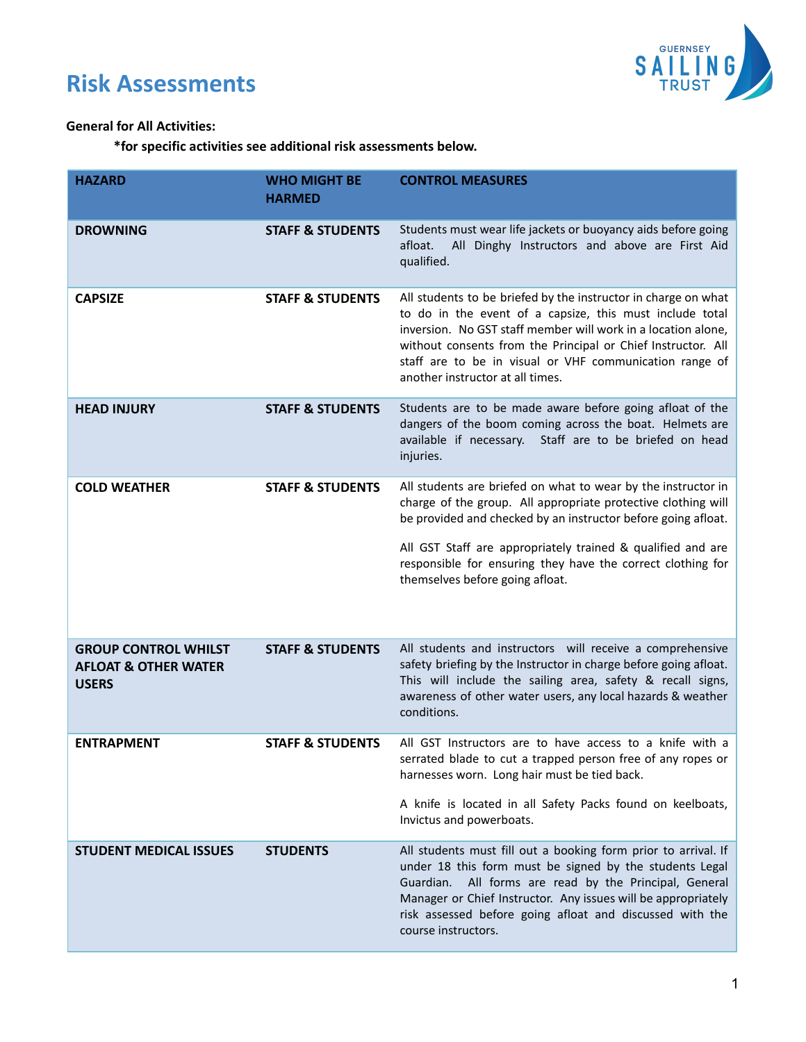# **Risk Assessments**



### **General for All Activities:**

**\*for specific activities see additional risk assessments below.**

| <b>HAZARD</b>                                                                  | <b>WHO MIGHT BE</b><br><b>HARMED</b> | <b>CONTROL MEASURES</b>                                                                                                                                                                                                                                                                                                                                          |
|--------------------------------------------------------------------------------|--------------------------------------|------------------------------------------------------------------------------------------------------------------------------------------------------------------------------------------------------------------------------------------------------------------------------------------------------------------------------------------------------------------|
| <b>DROWNING</b>                                                                | <b>STAFF &amp; STUDENTS</b>          | Students must wear life jackets or buoyancy aids before going<br>All Dinghy Instructors and above are First Aid<br>afloat.<br>qualified.                                                                                                                                                                                                                         |
| <b>CAPSIZE</b>                                                                 | <b>STAFF &amp; STUDENTS</b>          | All students to be briefed by the instructor in charge on what<br>to do in the event of a capsize, this must include total<br>inversion. No GST staff member will work in a location alone,<br>without consents from the Principal or Chief Instructor. All<br>staff are to be in visual or VHF communication range of<br>another instructor at all times.       |
| <b>HEAD INJURY</b>                                                             | <b>STAFF &amp; STUDENTS</b>          | Students are to be made aware before going afloat of the<br>dangers of the boom coming across the boat. Helmets are<br>available if necessary. Staff are to be briefed on head<br>injuries.                                                                                                                                                                      |
| <b>COLD WEATHER</b>                                                            | <b>STAFF &amp; STUDENTS</b>          | All students are briefed on what to wear by the instructor in<br>charge of the group. All appropriate protective clothing will<br>be provided and checked by an instructor before going afloat.<br>All GST Staff are appropriately trained & qualified and are<br>responsible for ensuring they have the correct clothing for<br>themselves before going afloat. |
| <b>GROUP CONTROL WHILST</b><br><b>AFLOAT &amp; OTHER WATER</b><br><b>USERS</b> | <b>STAFF &amp; STUDENTS</b>          | All students and instructors will receive a comprehensive<br>safety briefing by the Instructor in charge before going afloat.<br>This will include the sailing area, safety & recall signs,<br>awareness of other water users, any local hazards & weather<br>conditions.                                                                                        |
| <b>ENTRAPMENT</b>                                                              | <b>STAFF &amp; STUDENTS</b>          | All GST Instructors are to have access to a knife with a<br>serrated blade to cut a trapped person free of any ropes or<br>harnesses worn. Long hair must be tied back.<br>A knife is located in all Safety Packs found on keelboats,<br>Invictus and powerboats.                                                                                                |
| <b>STUDENT MEDICAL ISSUES</b>                                                  | <b>STUDENTS</b>                      | All students must fill out a booking form prior to arrival. If<br>under 18 this form must be signed by the students Legal<br>All forms are read by the Principal, General<br>Guardian.<br>Manager or Chief Instructor. Any issues will be appropriately<br>risk assessed before going afloat and discussed with the<br>course instructors.                       |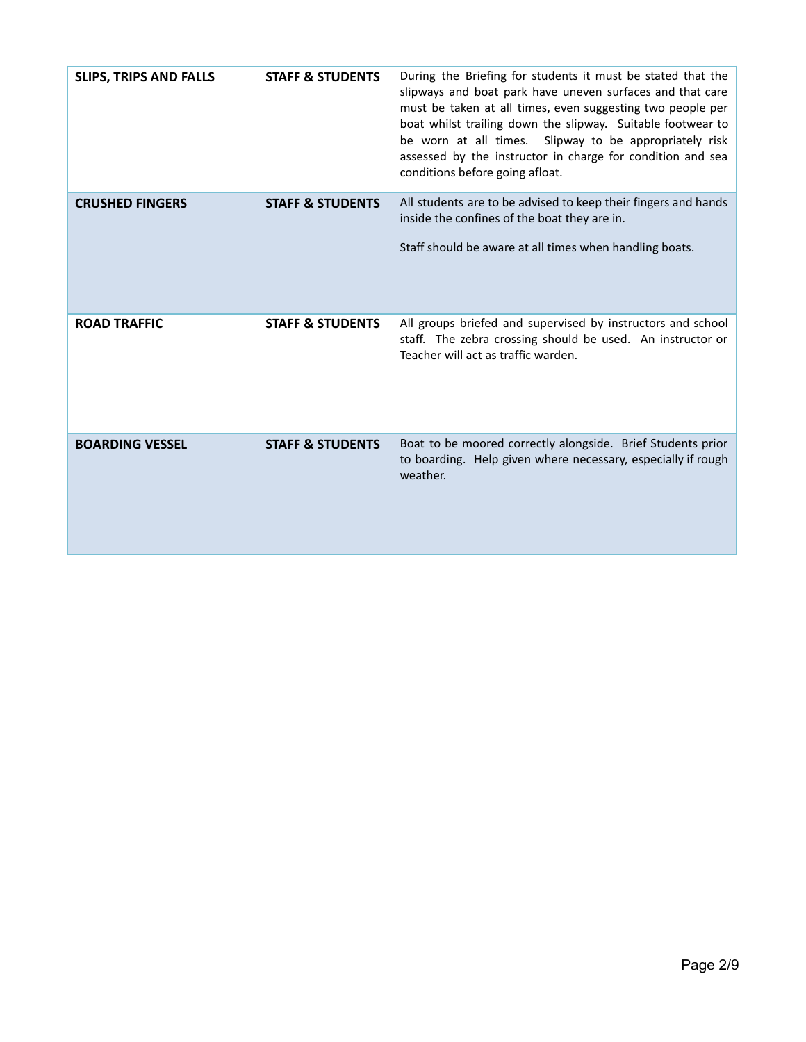| <b>SLIPS, TRIPS AND FALLS</b> | <b>STAFF &amp; STUDENTS</b> | During the Briefing for students it must be stated that the<br>slipways and boat park have uneven surfaces and that care<br>must be taken at all times, even suggesting two people per<br>boat whilst trailing down the slipway. Suitable footwear to<br>be worn at all times. Slipway to be appropriately risk<br>assessed by the instructor in charge for condition and sea<br>conditions before going afloat. |
|-------------------------------|-----------------------------|------------------------------------------------------------------------------------------------------------------------------------------------------------------------------------------------------------------------------------------------------------------------------------------------------------------------------------------------------------------------------------------------------------------|
| <b>CRUSHED FINGERS</b>        | <b>STAFF &amp; STUDENTS</b> | All students are to be advised to keep their fingers and hands<br>inside the confines of the boat they are in.<br>Staff should be aware at all times when handling boats.                                                                                                                                                                                                                                        |
| <b>ROAD TRAFFIC</b>           | <b>STAFF &amp; STUDENTS</b> | All groups briefed and supervised by instructors and school<br>staff. The zebra crossing should be used. An instructor or<br>Teacher will act as traffic warden.                                                                                                                                                                                                                                                 |
| <b>BOARDING VESSEL</b>        | <b>STAFF &amp; STUDENTS</b> | Boat to be moored correctly alongside. Brief Students prior<br>to boarding. Help given where necessary, especially if rough<br>weather.                                                                                                                                                                                                                                                                          |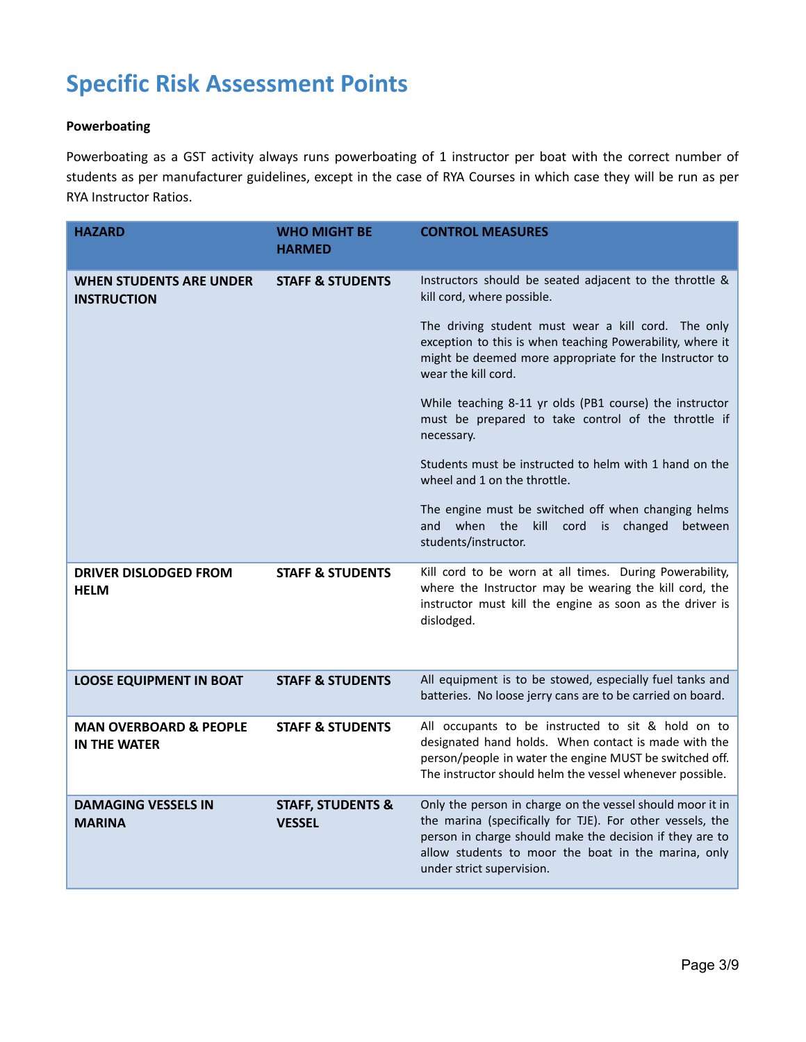# **Specific Risk Assessment Points**

#### **Powerboating**

Powerboating as a GST activity always runs powerboating of 1 instructor per boat with the correct number of students as per manufacturer guidelines, except in the case of RYA Courses in which case they will be run as per RYA Instructor Ratios.

| <b>HAZARD</b>                                            | <b>WHO MIGHT BE</b><br><b>HARMED</b>          | <b>CONTROL MEASURES</b>                                                                                                                                                                                                                                                |
|----------------------------------------------------------|-----------------------------------------------|------------------------------------------------------------------------------------------------------------------------------------------------------------------------------------------------------------------------------------------------------------------------|
| WHEN STUDENTS ARE UNDER<br><b>INSTRUCTION</b>            | <b>STAFF &amp; STUDENTS</b>                   | Instructors should be seated adjacent to the throttle &<br>kill cord, where possible.                                                                                                                                                                                  |
|                                                          |                                               | The driving student must wear a kill cord. The only<br>exception to this is when teaching Powerability, where it<br>might be deemed more appropriate for the Instructor to<br>wear the kill cord.                                                                      |
|                                                          |                                               | While teaching 8-11 yr olds (PB1 course) the instructor<br>must be prepared to take control of the throttle if<br>necessary.                                                                                                                                           |
|                                                          |                                               | Students must be instructed to helm with 1 hand on the<br>wheel and 1 on the throttle.                                                                                                                                                                                 |
|                                                          |                                               | The engine must be switched off when changing helms<br>when the kill<br>and<br>cord<br>is changed<br>between<br>students/instructor.                                                                                                                                   |
| <b>DRIVER DISLODGED FROM</b><br><b>HELM</b>              | <b>STAFF &amp; STUDENTS</b>                   | Kill cord to be worn at all times. During Powerability,<br>where the Instructor may be wearing the kill cord, the<br>instructor must kill the engine as soon as the driver is<br>dislodged.                                                                            |
| <b>LOOSE EQUIPMENT IN BOAT</b>                           | <b>STAFF &amp; STUDENTS</b>                   | All equipment is to be stowed, especially fuel tanks and<br>batteries. No loose jerry cans are to be carried on board.                                                                                                                                                 |
| <b>MAN OVERBOARD &amp; PEOPLE</b><br><b>IN THE WATER</b> | <b>STAFF &amp; STUDENTS</b>                   | All occupants to be instructed to sit & hold on to<br>designated hand holds. When contact is made with the<br>person/people in water the engine MUST be switched off.<br>The instructor should helm the vessel whenever possible.                                      |
| <b>DAMAGING VESSELS IN</b><br><b>MARINA</b>              | <b>STAFF, STUDENTS &amp;</b><br><b>VESSEL</b> | Only the person in charge on the vessel should moor it in<br>the marina (specifically for TJE). For other vessels, the<br>person in charge should make the decision if they are to<br>allow students to moor the boat in the marina, only<br>under strict supervision. |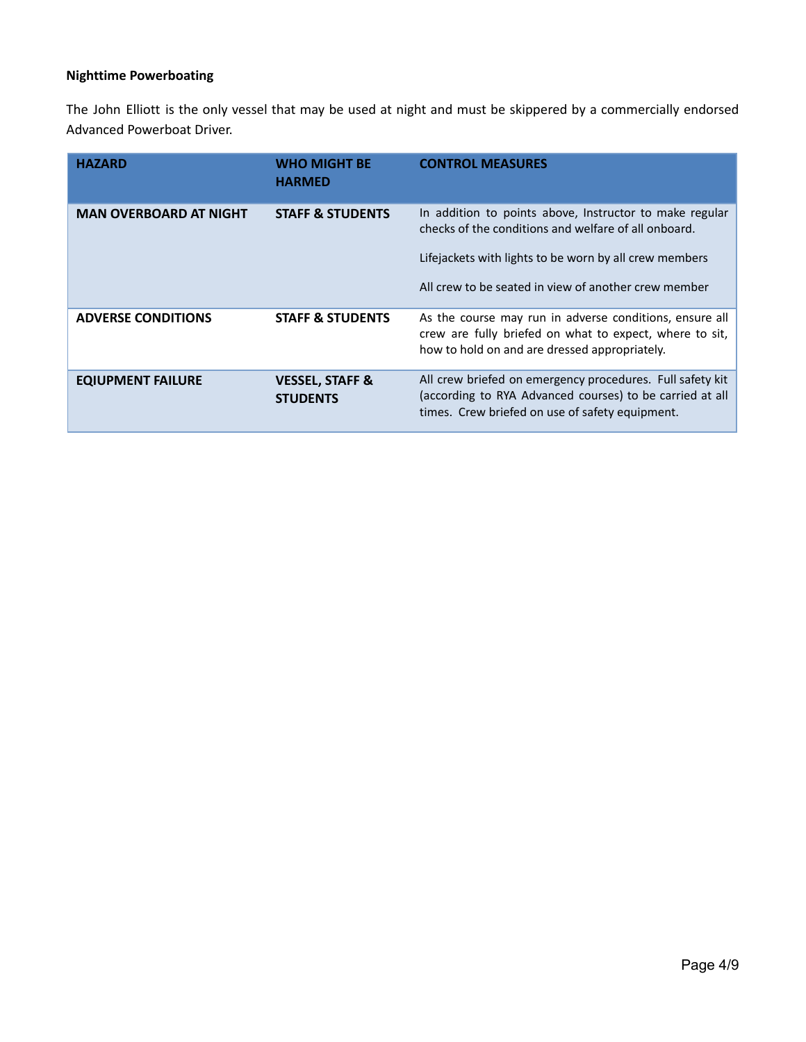### **Nighttime Powerboating**

The John Elliott is the only vessel that may be used at night and must be skippered by a commercially endorsed Advanced Powerboat Driver.

| <b>HAZARD</b>                 | <b>WHO MIGHT BE</b><br><b>HARMED</b>          | <b>CONTROL MEASURES</b>                                                                                                                                                                                                           |
|-------------------------------|-----------------------------------------------|-----------------------------------------------------------------------------------------------------------------------------------------------------------------------------------------------------------------------------------|
| <b>MAN OVERBOARD AT NIGHT</b> | <b>STAFF &amp; STUDENTS</b>                   | In addition to points above, Instructor to make regular<br>checks of the conditions and welfare of all onboard.<br>Lifejackets with lights to be worn by all crew members<br>All crew to be seated in view of another crew member |
| <b>ADVERSE CONDITIONS</b>     | <b>STAFF &amp; STUDENTS</b>                   | As the course may run in adverse conditions, ensure all<br>crew are fully briefed on what to expect, where to sit,<br>how to hold on and are dressed appropriately.                                                               |
| <b>EQIUPMENT FAILURE</b>      | <b>VESSEL, STAFF &amp;</b><br><b>STUDENTS</b> | All crew briefed on emergency procedures. Full safety kit<br>(according to RYA Advanced courses) to be carried at all<br>times. Crew briefed on use of safety equipment.                                                          |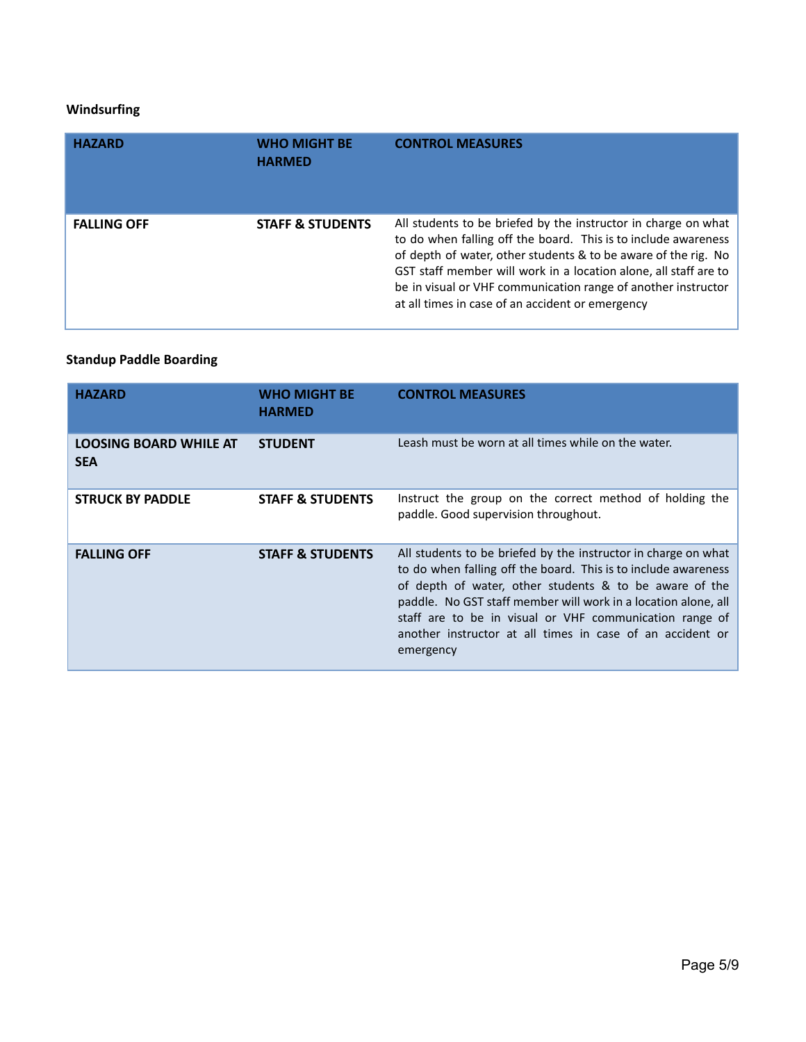#### **Windsurfing**

| <b>HAZARD</b>      | <b>WHO MIGHT BE</b><br><b>HARMED</b> | <b>CONTROL MEASURES</b>                                                                                                                                                                                                                                                                                                                                                                     |
|--------------------|--------------------------------------|---------------------------------------------------------------------------------------------------------------------------------------------------------------------------------------------------------------------------------------------------------------------------------------------------------------------------------------------------------------------------------------------|
| <b>FALLING OFF</b> | <b>STAFF &amp; STUDENTS</b>          | All students to be briefed by the instructor in charge on what<br>to do when falling off the board. This is to include awareness<br>of depth of water, other students & to be aware of the rig. No<br>GST staff member will work in a location alone, all staff are to<br>be in visual or VHF communication range of another instructor<br>at all times in case of an accident or emergency |

## **Standup Paddle Boarding**

| <b>HAZARD</b>                               | <b>WHO MIGHT BE</b><br><b>HARMED</b> | <b>CONTROL MEASURES</b>                                                                                                                                                                                                                                                                                                                                                                           |
|---------------------------------------------|--------------------------------------|---------------------------------------------------------------------------------------------------------------------------------------------------------------------------------------------------------------------------------------------------------------------------------------------------------------------------------------------------------------------------------------------------|
| <b>LOOSING BOARD WHILE AT</b><br><b>SEA</b> | <b>STUDENT</b>                       | Leash must be worn at all times while on the water.                                                                                                                                                                                                                                                                                                                                               |
| <b>STRUCK BY PADDLE</b>                     | <b>STAFF &amp; STUDENTS</b>          | Instruct the group on the correct method of holding the<br>paddle. Good supervision throughout.                                                                                                                                                                                                                                                                                                   |
| <b>FALLING OFF</b>                          | <b>STAFF &amp; STUDENTS</b>          | All students to be briefed by the instructor in charge on what<br>to do when falling off the board. This is to include awareness<br>of depth of water, other students & to be aware of the<br>paddle. No GST staff member will work in a location alone, all<br>staff are to be in visual or VHF communication range of<br>another instructor at all times in case of an accident or<br>emergency |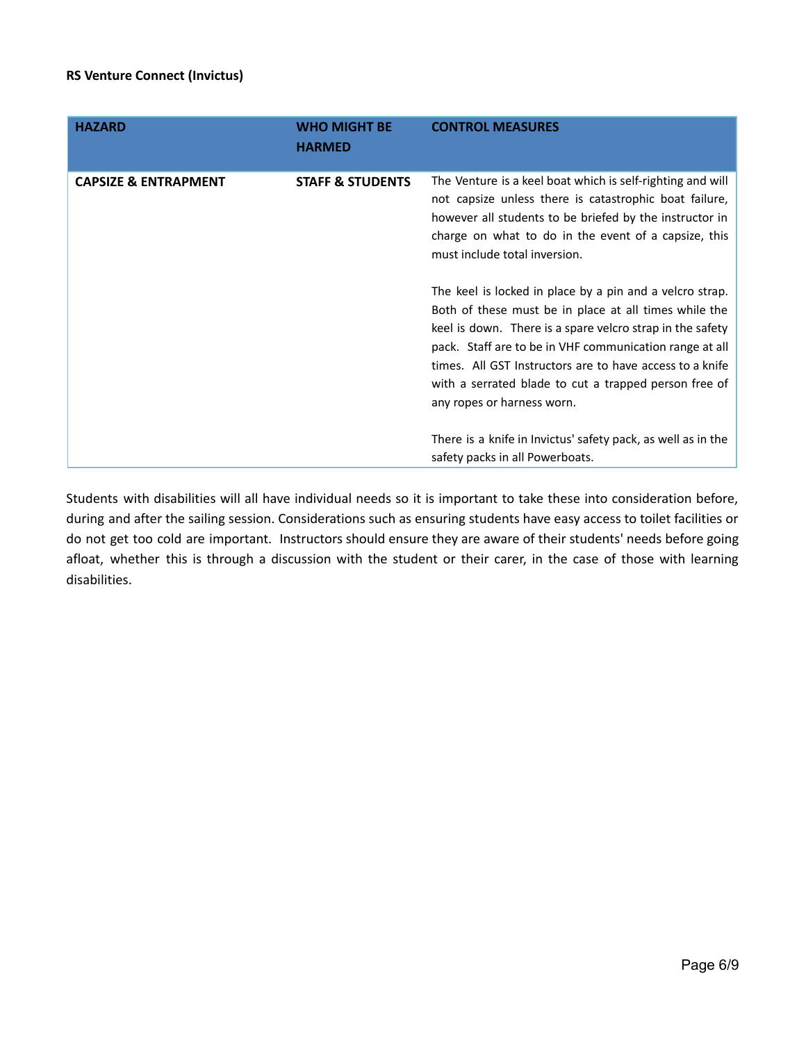#### **RS Venture Connect (Invictus)**

| <b>HAZARD</b>                   | <b>WHO MIGHT BE</b><br><b>HARMED</b> | <b>CONTROL MEASURES</b>                                                                                                                                                                                                                                                                                                                                                                      |
|---------------------------------|--------------------------------------|----------------------------------------------------------------------------------------------------------------------------------------------------------------------------------------------------------------------------------------------------------------------------------------------------------------------------------------------------------------------------------------------|
| <b>CAPSIZE &amp; ENTRAPMENT</b> | <b>STAFF &amp; STUDENTS</b>          | The Venture is a keel boat which is self-righting and will<br>not capsize unless there is catastrophic boat failure,<br>however all students to be briefed by the instructor in<br>charge on what to do in the event of a capsize, this<br>must include total inversion.                                                                                                                     |
|                                 |                                      | The keel is locked in place by a pin and a velcro strap.<br>Both of these must be in place at all times while the<br>keel is down. There is a spare velcro strap in the safety<br>pack. Staff are to be in VHF communication range at all<br>times. All GST Instructors are to have access to a knife<br>with a serrated blade to cut a trapped person free of<br>any ropes or harness worn. |
|                                 |                                      | There is a knife in Invictus' safety pack, as well as in the<br>safety packs in all Powerboats.                                                                                                                                                                                                                                                                                              |

Students with disabilities will all have individual needs so it is important to take these into consideration before, during and after the sailing session. Considerations such as ensuring students have easy access to toilet facilities or do not get too cold are important. Instructors should ensure they are aware of their students' needs before going afloat, whether this is through a discussion with the student or their carer, in the case of those with learning disabilities.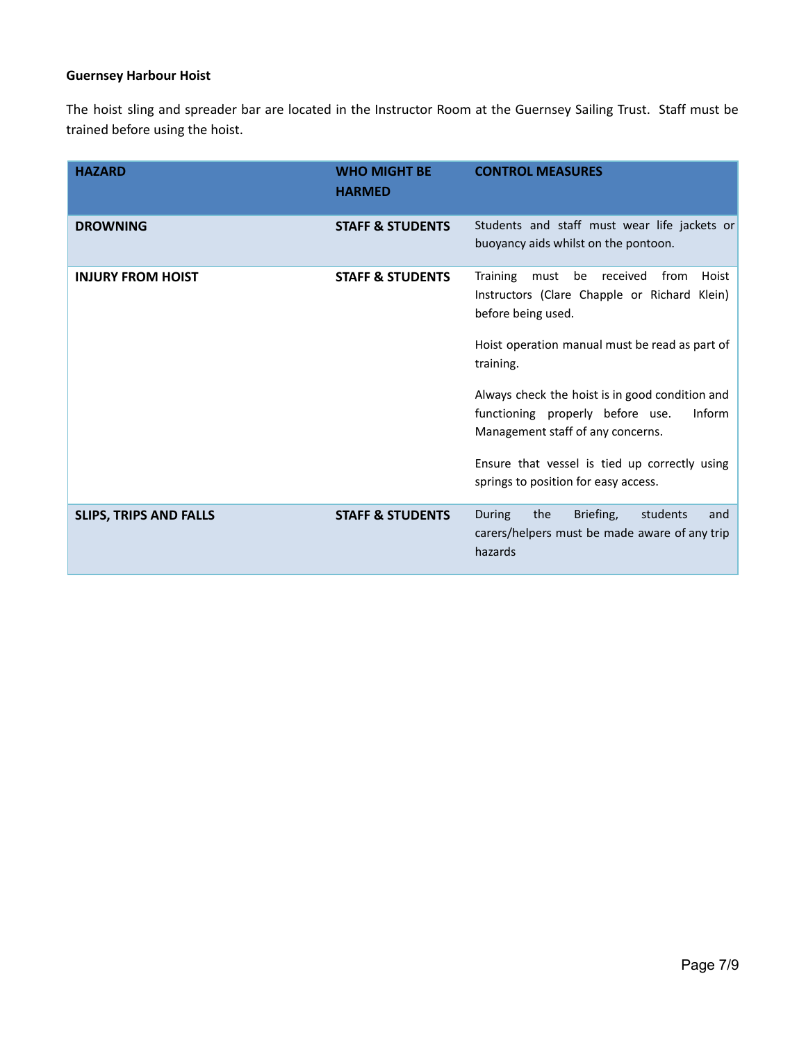#### **Guernsey Harbour Hoist**

The hoist sling and spreader bar are located in the Instructor Room at the Guernsey Sailing Trust. Staff must be trained before using the hoist.

| <b>HAZARD</b>                 | <b>WHO MIGHT BE</b><br><b>HARMED</b> | <b>CONTROL MEASURES</b>                                                                                                            |
|-------------------------------|--------------------------------------|------------------------------------------------------------------------------------------------------------------------------------|
| <b>DROWNING</b>               | <b>STAFF &amp; STUDENTS</b>          | Students and staff must wear life jackets or<br>buoyancy aids whilst on the pontoon.                                               |
| <b>INJURY FROM HOIST</b>      | <b>STAFF &amp; STUDENTS</b>          | Training<br>be<br>received<br>from<br>Hoist<br>must<br>Instructors (Clare Chapple or Richard Klein)<br>before being used.          |
|                               |                                      | Hoist operation manual must be read as part of<br>training.                                                                        |
|                               |                                      | Always check the hoist is in good condition and<br>functioning properly before use.<br>Inform<br>Management staff of any concerns. |
|                               |                                      | Ensure that vessel is tied up correctly using<br>springs to position for easy access.                                              |
| <b>SLIPS, TRIPS AND FALLS</b> | <b>STAFF &amp; STUDENTS</b>          | the<br>Briefing,<br>During<br>students<br>and<br>carers/helpers must be made aware of any trip<br>hazards                          |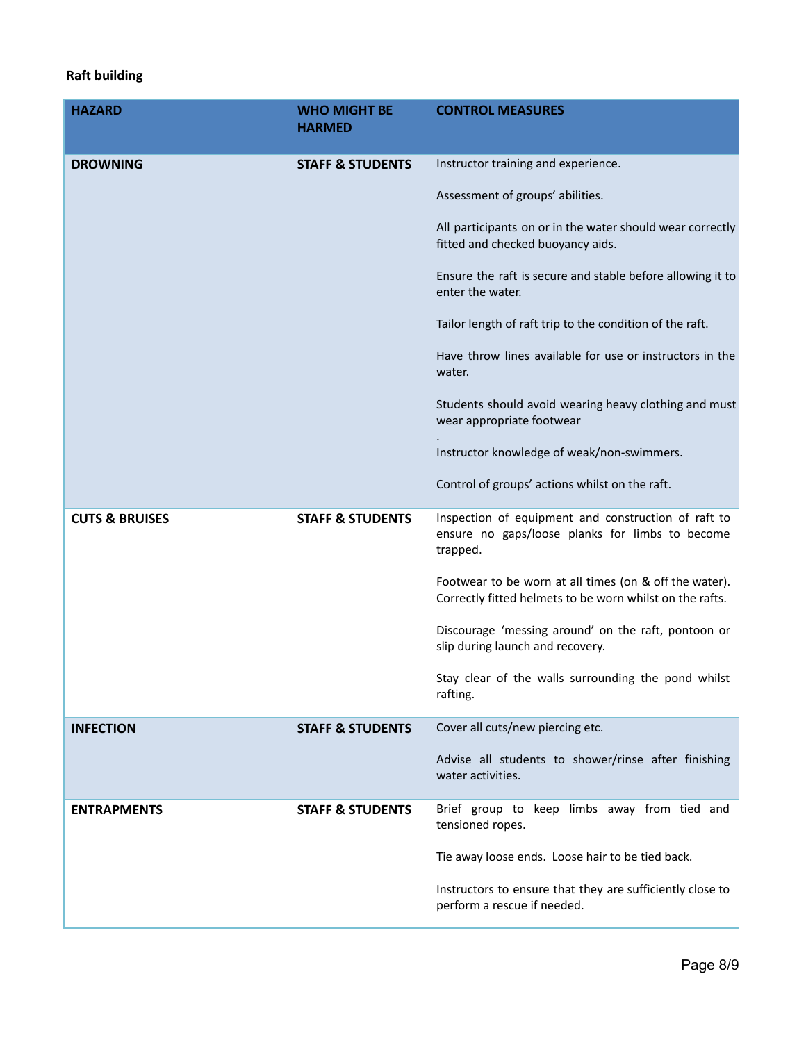## **Raft building**

| <b>HAZARD</b>             | <b>WHO MIGHT BE</b><br><b>HARMED</b> | <b>CONTROL MEASURES</b>                                                                                            |
|---------------------------|--------------------------------------|--------------------------------------------------------------------------------------------------------------------|
| <b>DROWNING</b>           | <b>STAFF &amp; STUDENTS</b>          | Instructor training and experience.                                                                                |
|                           |                                      | Assessment of groups' abilities.                                                                                   |
|                           |                                      | All participants on or in the water should wear correctly<br>fitted and checked buoyancy aids.                     |
|                           |                                      | Ensure the raft is secure and stable before allowing it to<br>enter the water.                                     |
|                           |                                      | Tailor length of raft trip to the condition of the raft.                                                           |
|                           |                                      | Have throw lines available for use or instructors in the<br>water.                                                 |
|                           |                                      | Students should avoid wearing heavy clothing and must<br>wear appropriate footwear                                 |
|                           |                                      | Instructor knowledge of weak/non-swimmers.                                                                         |
|                           |                                      | Control of groups' actions whilst on the raft.                                                                     |
| <b>CUTS &amp; BRUISES</b> | <b>STAFF &amp; STUDENTS</b>          | Inspection of equipment and construction of raft to<br>ensure no gaps/loose planks for limbs to become<br>trapped. |
|                           |                                      | Footwear to be worn at all times (on & off the water).<br>Correctly fitted helmets to be worn whilst on the rafts. |
|                           |                                      | Discourage 'messing around' on the raft, pontoon or<br>slip during launch and recovery.                            |
|                           |                                      | Stay clear of the walls surrounding the pond whilst<br>rafting.                                                    |
| <b>INFECTION</b>          | <b>STAFF &amp; STUDENTS</b>          | Cover all cuts/new piercing etc.                                                                                   |
|                           |                                      | Advise all students to shower/rinse after finishing<br>water activities.                                           |
| <b>ENTRAPMENTS</b>        | <b>STAFF &amp; STUDENTS</b>          | Brief group to keep limbs away from tied and<br>tensioned ropes.                                                   |
|                           |                                      | Tie away loose ends. Loose hair to be tied back.                                                                   |
|                           |                                      | Instructors to ensure that they are sufficiently close to<br>perform a rescue if needed.                           |